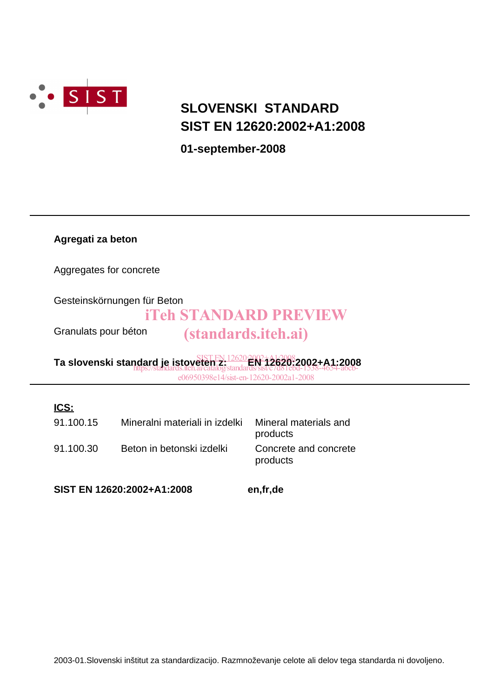

# **SIST EN 12620:2002+A1:2008 SLOVENSKI STANDARD**

**01-september-2008**

**Agregati za beton**

Aggregates for concrete

Granulats pour béton

Gesteinskörnungen für Beton

## iTeh STANDARD PREVIEW (standards.iteh.ai)

**Ta slovenski standard je istoveten z: EN 12620:2002+A1:2008** SIST EN 12620:2002+A1:2008 https://standards.iteh.ai/catalog/standards/sist/c7d81ebd-1538-4654-a6cb-

e06950398e14/sist-en-12620-2002a1-2008

## **ICS:**

| 91.100.15 | Mineralni materiali in izdelki | Mineral materials and<br>products |
|-----------|--------------------------------|-----------------------------------|
| 91.100.30 | Beton in betonski izdelki      | Concrete and concrete<br>products |

**SIST EN 12620:2002+A1:2008 en,fr,de**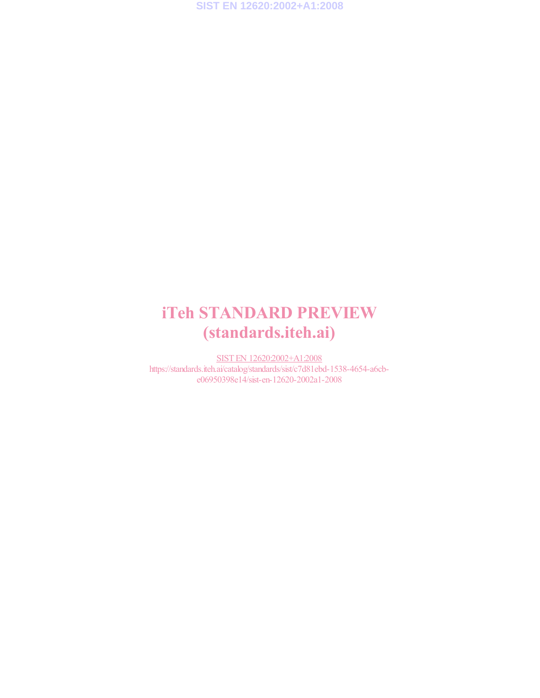# iTeh STANDARD PREVIEW (standards.iteh.ai)

SIST EN 12620:2002+A1:2008 https://standards.iteh.ai/catalog/standards/sist/c7d81ebd-1538-4654-a6cbe06950398e14/sist-en-12620-2002a1-2008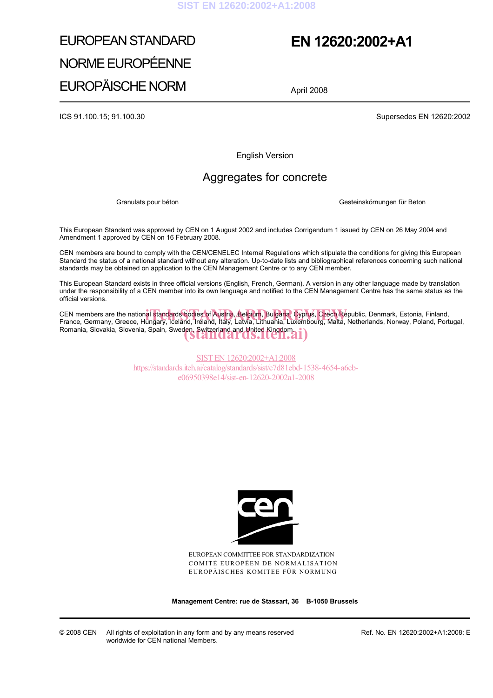# EUROPEAN STANDARD NORME EUROPÉENNE EUROPÄISCHE NORM

## **EN 12620:2002+A1**

April 2008

ICS 91.100.15; 91.100.30 Supersedes EN 12620:2002

English Version

## Aggregates for concrete

Granulats pour béton Gesteinskörnungen für Beton Gesteinskörnungen für Beton

This European Standard was approved by CEN on 1 August 2002 and includes Corrigendum 1 issued by CEN on 26 May 2004 and Amendment 1 approved by CEN on 16 February 2008.

CEN members are bound to comply with the CEN/CENELEC Internal Regulations which stipulate the conditions for giving this European Standard the status of a national standard without any alteration. Up-to-date lists and bibliographical references concerning such national standards may be obtained on application to the CEN Management Centre or to any CEN member.

This European Standard exists in three official versions (English, French, German). A version in any other language made by translation under the responsibility of a CEN member into its own language and notified to the CEN Management Centre has the same status as the official versions.

CEN members are the national standards bodies of Austria, Belgium, Bulgaria, Cyprus, Czech Republic, Denmark, Estonia, Finland, CEN members are the national standards bodies of Austria, Belgium, Bulgaria, Cyprus, Czech Republic, Denmark, Estonia, Finland,<br>France, Germany, Greece, Hungary, Iceland, Ireland, Italy, Latvia, Lithuania, Luxembourg, Malt Romania, Slovakia, Slovenia, Spain, Sweden, Switzerland and United Kingdom.<br>Standard Standards. 1991.

> SIST EN 12620:2002+A1:2008 https://standards.iteh.ai/catalog/standards/sist/c7d81ebd-1538-4654-a6cbe06950398e14/sist-en-12620-2002a1-2008



EUROPEAN COMMITTEE FOR STANDARDIZATION COMITÉ EUROPÉEN DE NORMALISATION EUROPÄISCHES KOMITEE FÜR NORMUNG

**Management Centre: rue de Stassart, 36 B-1050 Brussels** 

© 2008 CEN All rights of exploitation in any form and by any means reserved worldwide for CEN national Members.

Ref. No. EN 12620:2002+A1:2008: E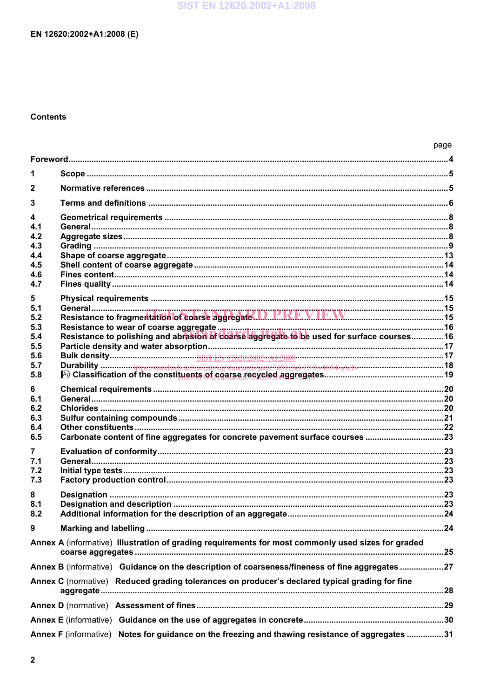### SIST EN 12620:2002+A1:2008

## EN 12620:2002+A1:2008 (E)

### **Contents**

|                         |                                                                                                    | page |
|-------------------------|----------------------------------------------------------------------------------------------------|------|
|                         |                                                                                                    |      |
| 1                       |                                                                                                    |      |
| $\mathbf 2$             |                                                                                                    |      |
| 3                       |                                                                                                    |      |
| $\overline{\mathbf{4}}$ |                                                                                                    |      |
| 4.1                     |                                                                                                    |      |
| 4.2                     |                                                                                                    |      |
| 4.3<br>4.4              |                                                                                                    |      |
| 4.5                     |                                                                                                    |      |
| 4.6                     |                                                                                                    |      |
| 4.7                     |                                                                                                    |      |
| 5                       |                                                                                                    |      |
| 5.1                     |                                                                                                    |      |
| 5.2                     |                                                                                                    |      |
| 5.3<br>5.4              |                                                                                                    |      |
| 5.5                     | Resistance to polishing and abrasion of coarse aggregate to be used for surface courses 16         |      |
| 5.6                     |                                                                                                    |      |
| 5.7                     |                                                                                                    |      |
| 5.8                     |                                                                                                    |      |
| 6                       |                                                                                                    |      |
| 6.1                     |                                                                                                    |      |
| 6.2                     |                                                                                                    |      |
| 6.3                     |                                                                                                    |      |
| 6.4<br>6.5              | Carbonate content of fine aggregates for concrete pavement surface courses 23                      |      |
|                         |                                                                                                    |      |
| $\overline{7}$<br>7.1   |                                                                                                    |      |
| 7.2                     |                                                                                                    |      |
| 7.3                     |                                                                                                    |      |
|                         |                                                                                                    |      |
| 8<br>8.1                |                                                                                                    |      |
| 8.2                     |                                                                                                    |      |
| 9                       |                                                                                                    |      |
|                         |                                                                                                    |      |
|                         | Annex A (informative) Illustration of grading requirements for most commonly used sizes for graded |      |
|                         |                                                                                                    |      |
|                         | Annex B (informative) Guidance on the description of coarseness/fineness of fine aggregates 27     |      |
|                         | Annex C (normative) Reduced grading tolerances on producer's declared typical grading for fine     |      |
|                         |                                                                                                    |      |
|                         |                                                                                                    |      |
|                         |                                                                                                    |      |
|                         | Annex F (informative) Notes for guidance on the freezing and thawing resistance of aggregates 31   |      |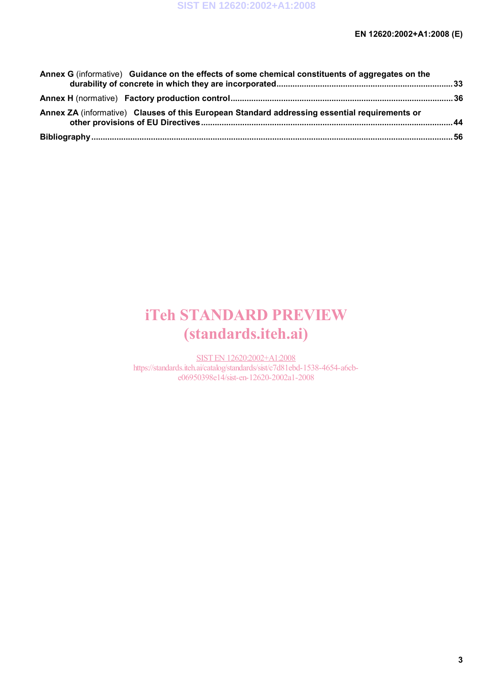| Annex G (informative) Guidance on the effects of some chemical constituents of aggregates on the |  |
|--------------------------------------------------------------------------------------------------|--|
|                                                                                                  |  |
| Annex ZA (informative) Clauses of this European Standard addressing essential requirements or    |  |
|                                                                                                  |  |

# iTeh STANDARD PREVIEW (standards.iteh.ai)

SIST EN 12620:2002+A1:2008 https://standards.iteh.ai/catalog/standards/sist/c7d81ebd-1538-4654-a6cbe06950398e14/sist-en-12620-2002a1-2008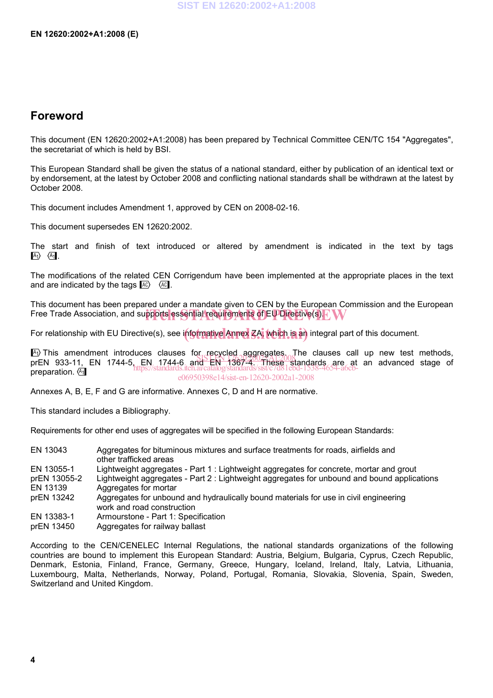## **Foreword**

This document (EN 12620:2002+A1:2008) has been prepared by Technical Committee CEN/TC 154 "Aggregates", the secretariat of which is held by BSI.

This European Standard shall be given the status of a national standard, either by publication of an identical text or by endorsement, at the latest by October 2008 and conflicting national standards shall be withdrawn at the latest by October 2008.

This document includes Amendment 1, approved by CEN on 2008-02-16.

This document supersedes EN 12620:2002.

The start and finish of text introduced or altered by amendment is indicated in the text by tags  $\overrightarrow{A_1}$   $\overrightarrow{A_1}$ .

The modifications of the related CEN Corrigendum have been implemented at the appropriate places in the text and are indicated by the tags  $AC$   $AC$ .

This document has been prepared under a mandate given to CEN by the European Commission and the European The accuracy may accuracy properties and supports and the requirements of EU Directive(s). PM

For relationship with EU Directive(s), see i<mark>nformative Annex ZA, which is an</mark> integral part of this document.

 $\mathbb{A}$ ) This amendment introduces clauses for recycled aggregates. The clauses call up new test methods,  $\mathbb{P}$  rms amendment introduces clauses roughly explored applicates of the clauses call up new test methods,  $\mathbb{P}$  prEN 933-11, EN 1744-5, EN 1744-6, and EN 1367-4. These standards are at an advanced stage of preparation.  $\sqrt{41}$ https://standards.iteh.ai/catalog/standards/sist/c7d81ebd-1538-4654-a6cbe06950398e14/sist-en-12620-2002a1-2008

Annexes A, B, E, F and G are informative. Annexes C, D and H are normative.

This standard includes a Bibliography.

Requirements for other end uses of aggregates will be specified in the following European Standards:

| EN 13043     | Aggregates for bituminous mixtures and surface treatments for roads, airfields and<br>other trafficked areas        |
|--------------|---------------------------------------------------------------------------------------------------------------------|
| EN 13055-1   | Lightweight aggregates - Part 1: Lightweight aggregates for concrete, mortar and grout                              |
| prEN 13055-2 | Lightweight aggregates - Part 2 : Lightweight aggregates for unbound and bound applications                         |
| EN 13139     | Aggregates for mortar                                                                                               |
| prEN 13242   | Aggregates for unbound and hydraulically bound materials for use in civil engineering<br>work and road construction |
| EN 13383-1   | Armourstone - Part 1: Specification                                                                                 |
| prEN 13450   | Aggregates for railway ballast                                                                                      |

According to the CEN/CENELEC Internal Regulations, the national standards organizations of the following countries are bound to implement this European Standard: Austria, Belgium, Bulgaria, Cyprus, Czech Republic, Denmark, Estonia, Finland, France, Germany, Greece, Hungary, Iceland, Ireland, Italy, Latvia, Lithuania, Luxembourg, Malta, Netherlands, Norway, Poland, Portugal, Romania, Slovakia, Slovenia, Spain, Sweden, Switzerland and United Kingdom.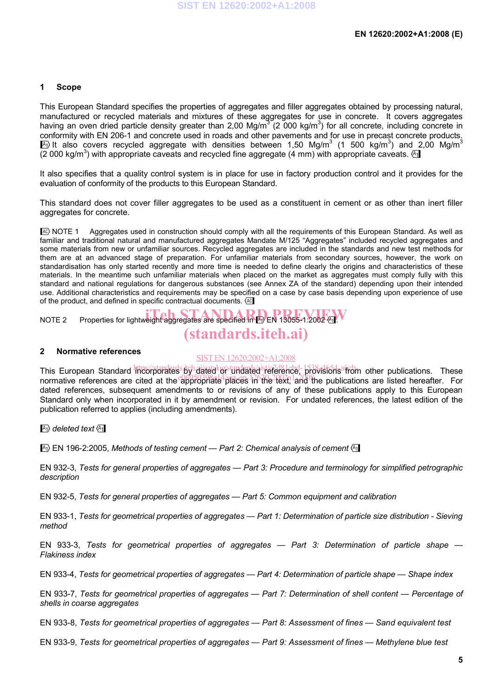#### **1 Scope**

This European Standard specifies the properties of aggregates and filler aggregates obtained by processing natural, manufactured or recycled materials and mixtures of these aggregates for use in concrete. It covers aggregates having an oven dried particle density greater than 2,00 Mg/m<sup>3</sup> (2 000 kg/m<sup>3</sup>) for all concrete, including concrete in conformity with EN 206-1 and concrete used in roads and other pavements and for use in precast concrete products.  $\mathbb{A}$ ) It also covers recycled aggregate with densities between 1,50 Mg/m<sup>3</sup> (1 500 kg/m<sup>3</sup>) and 2,00 Mg/m<sup>3</sup> (2 000 kg/m<sup>3</sup>) with appropriate caveats and recycled fine aggregate (4 mm) with appropriate caveats.  $4\sqrt{1}$ 

It also specifies that a quality control system is in place for use in factory production control and it provides for the evaluation of conformity of the products to this European Standard.

This standard does not cover filler aggregates to be used as a constituent in cement or as other than inert filler aggregates for concrete.

AG) NOTE 1 Aggregates used in construction should comply with all the requirements of this European Standard. As well as familiar and traditional natural and manufactured aggregates Mandate M/125 "Aggregates" included recycled aggregates and some materials from new or unfamiliar sources. Recycled aggregates are included in the standards and new test methods for them are at an advanced stage of preparation. For unfamiliar materials from secondary sources, however, the work on standardisation has only started recently and more time is needed to define clearly the origins and characteristics of these materials. In the meantime such unfamiliar materials when placed on the market as aggregates must comply fully with this standard and national regulations for dangerous substances (see Annex ZA of the standard) depending upon their intended use. Additional characteristics and requirements may be specified on a case by case basis depending upon experience of use of the product, and defined in specific contractual documents. AC

## NOTE 2 Properties for lightweight aggregates are specified in EN BR F 12002 (4) (standards.iteh.ai)

#### **2 Normative references**

#### SIST EN 12620:2002+A1:2008

This European Standard *incorporates by dated or undated reference*, provisions from other publications. These normative references are cited at the appropriate places in the text, and the publications are listed hereafter. For dated references, subsequent amendments to or revisions of any of these publications apply to this European Standard only when incorporated in it by amendment or revision. For undated references, the latest edition of the publication referred to applies (including amendments).

 $\overline{A_1}$ *deleted text*  $\overline{A_1}$ 

 $\overline{F_1}$  EN 196-2:2005, Methods of testing cement — Part 2: Chemical analysis of cement  $\overline{F_1}$ 

EN 932-3, *Tests for general properties of aggregates — Part 3: Procedure and terminology for simplified petrographic description* 

EN 932-5, *Tests for general properties of aggregates — Part 5: Common equipment and calibration*

EN 933-1, *Tests for geometrical properties of aggregates — Part 1: Determination of particle size distribution - Sieving method*

EN 933-3, *Tests for geometrical properties of aggregates — Part 3: Determination of particle shape — Flakiness index*

EN 933-4, *Tests for geometrical properties of aggregates — Part 4: Determination of particle shape — Shape index*

EN 933-7, *Tests for geometrical properties of aggregates — Part 7: Determination of shell content — Percentage of shells in coarse aggregates*

EN 933-8, *Tests for geometrical properties of aggregates — Part 8: Assessment of fines — Sand equivalent test*

EN 933-9, *Tests for geometrical properties of aggregates — Part 9: Assessment of fines — Methylene blue test*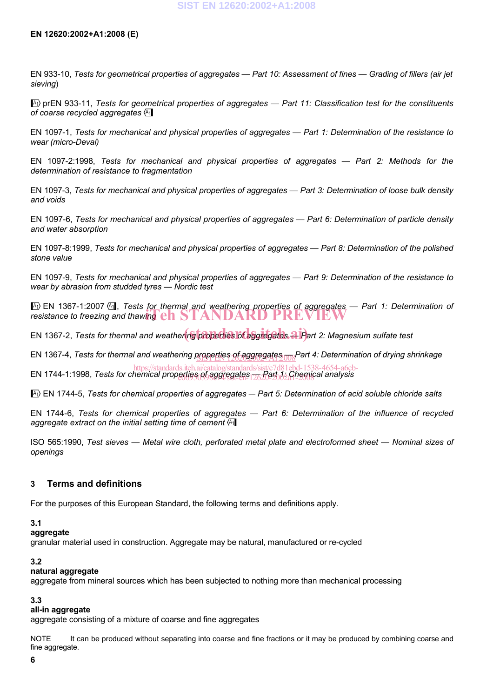#### **EN 12620:2002+A1:2008 (E)**

EN 933-10, *Tests for geometrical properties of aggregates — Part 10: Assessment of fines — Grading of fillers (air jet sieving*)

!prEN 933-11, *Tests for geometrical properties of aggregates — Part 11: Classification test for the constituents of coarse recycled aggregates*  $\sqrt{41}$ 

EN 1097-1, *Tests for mechanical and physical properties of aggregates — Part 1: Determination of the resistance to wear (micro-Deval)*

EN 1097-2:1998, *Tests for mechanical and physical properties of aggregates — Part 2: Methods for the determination of resistance to fragmentation* 

EN 1097-3, *Tests for mechanical and physical properties of aggregates — Part 3: Determination of loose bulk density and voids*

EN 1097-6, *Tests for mechanical and physical properties of aggregates — Part 6: Determination of particle density and water absorption* 

EN 1097-8:1999, *Tests for mechanical and physical properties of aggregates — Part 8: Determination of the polished stone value*

EN 1097-9, *Tests for mechanical and physical properties of aggregates — Part 9: Determination of the resistance to wear by abrasion from studded tyres — Nordic test*

 $\overline{F_1}$  EN 1367-1:2007<sup>( $\overline{F_2}$ </sup>, Tests for thermal and weathering properties of aggregates — Part 1: Determination of *resistance to freezing and thawing* **eth** STANDARD PREVIEW

EN 1367-2, *Tests for thermal and weathering propetties of aggregates.* 2 Part 2: Magnesium sulfate test

EN 1367-4, *Tests for thermal and weathering properties <u>of aggregates <sub>003</sub></u>Part 4: Determination of drying shrinkage* https://standards.iteh.ai/catalog/standards/sist/c7d81ebd-1538-4654-a6cb-<br>EN 1744-1:1998, *Tests for chemical properties of aggregates* e00950958994/sisten=12620e2002a1-2008

!EN 1744-5, *Tests for chemical properties of aggregates — Part 5: Determination of acid soluble chloride salts* 

EN 1744-6, *Tests for chemical properties of aggregates — Part 6: Determination of the influence of recycled aggregate extract on the initial setting time of cement*  $\sqrt{41}$ 

ISO 565:1990, *Test sieves — Metal wire cloth, perforated metal plate and electroformed sheet — Nominal sizes of openings*

#### **3 Terms and definitions**

For the purposes of this European Standard, the following terms and definitions apply.

#### **3.1**

**aggregate** 

granular material used in construction. Aggregate may be natural, manufactured or re-cycled

#### **3.2**

#### **natural aggregate**

aggregate from mineral sources which has been subjected to nothing more than mechanical processing

#### **3.3**

#### **all-in aggregate**

aggregate consisting of a mixture of coarse and fine aggregates

NOTE It can be produced without separating into coarse and fine fractions or it may be produced by combining coarse and fine aggregate.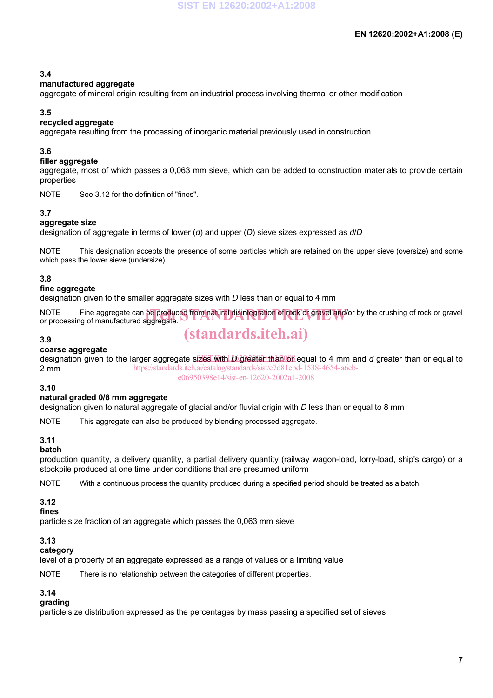#### **3.4**

#### **manufactured aggregate**

aggregate of mineral origin resulting from an industrial process involving thermal or other modification

#### **3.5**

#### **recycled aggregate**

aggregate resulting from the processing of inorganic material previously used in construction

#### **3.6**

#### **filler aggregate**

aggregate, most of which passes a 0,063 mm sieve, which can be added to construction materials to provide certain properties

NOTE See 3.12 for the definition of "fines".

#### **3.7**

#### **aggregate size**

designation of aggregate in terms of lower (*d*) and upper (*D*) sieve sizes expressed as *d*/*D*

NOTE This designation accepts the presence of some particles which are retained on the upper sieve (oversize) and some which pass the lower sieve (undersize).

#### **3.8**

#### **fine aggregate**

designation given to the smaller aggregate sizes with *D* less than or equal to 4 mm

NOTE Fine aggregate can be produced from natural disintegration of rock or gravel and/or by the crushing of rock or gravel<br>or processing of manufactured aggregate. or processing of manufactured aggregate. (standards.iteh.ai)

#### **3.9**

#### **coarse aggregate**

designation given to the larger aggregate sizes with *D* greater than 6<sup>2</sup> equal to 4 mm and *d* greater than or equal to 2 mm https://standards.iteh.ai/catalog/standards/sist/c7d81ebd-1538-4654-a6cb-

#### e06950398e14/sist-en-12620-2002a1-2008

#### **3.10**

#### **natural graded 0/8 mm aggregate**

designation given to natural aggregate of glacial and/or fluvial origin with *D* less than or equal to 8 mm

NOTE This aggregate can also be produced by blending processed aggregate.

#### **3.11**

#### **batch**

production quantity, a delivery quantity, a partial delivery quantity (railway wagon-load, lorry-load, ship's cargo) or a stockpile produced at one time under conditions that are presumed uniform

NOTE With a continuous process the quantity produced during a specified period should be treated as a batch.

#### **3.12**

### **fines**

particle size fraction of an aggregate which passes the 0,063 mm sieve

## **3.13**

### **category**

level of a property of an aggregate expressed as a range of values or a limiting value

NOTE There is no relationship between the categories of different properties.

## **3.14**

## **grading**

particle size distribution expressed as the percentages by mass passing a specified set of sieves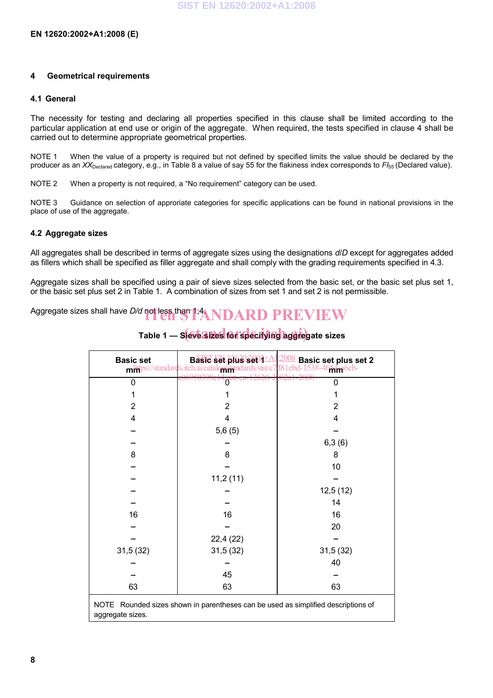#### **EN 12620:2002+A1:2008 (E)**

#### **4 Geometrical requirements**

#### **4.1 General**

The necessity for testing and declaring all properties specified in this clause shall be limited according to the particular application at end use or origin of the aggregate. When required, the tests specified in clause 4 shall be carried out to determine appropriate geometrical properties.

NOTE 1 When the value of a property is required but not defined by specified limits the value should be declared by the producer as an *XX*<sub>Declared</sub> category, e.g., in Table 8 a value of say 55 for the flakiness index corresponds to *FI*<sub>55</sub> (Declared value).

NOTE 2 When a property is not required, a "No requirement" category can be used.

NOTE 3 Guidance on selection of approriate categories for specific applications can be found in national provisions in the place of use of the aggregate.

#### **4.2 Aggregate sizes**

All aggregates shall be described in terms of aggregate sizes using the designations *d*/*D* except for aggregates added as fillers which shall be specified as filler aggregate and shall comply with the grading requirements specified in 4.3.

Aggregate sizes shall be specified using a pair of sieve sizes selected from the basic set, or the basic set plus set 1, or the basic set plus set 2 in Table 1. A combination of sizes from set 1 and set 2 is not permissible.

## Aggregate sizes shall have *D/d* not less than 1,4 NDARD PREVIEW

| <b>Basic set</b> | mhttps://standards.iteh.ai/catalog/mandards/sist/c7d81ebd-1538-465/m06cb-         | Basic set plus set 4 <sup>+Al2008</sup> Basic set plus set 2 |
|------------------|-----------------------------------------------------------------------------------|--------------------------------------------------------------|
| $\Omega$         |                                                                                   | <u>UZALEZUNIO</u><br>0                                       |
| 1                |                                                                                   |                                                              |
| 2                | 2                                                                                 | 2                                                            |
| 4                | 4                                                                                 | 4                                                            |
|                  | 5,6(5)                                                                            |                                                              |
|                  |                                                                                   | 6,3(6)                                                       |
| 8                | 8                                                                                 | 8                                                            |
|                  |                                                                                   | 10                                                           |
|                  | 11,2(11)                                                                          |                                                              |
|                  |                                                                                   | 12,5(12)                                                     |
|                  |                                                                                   | 14                                                           |
| 16               | 16                                                                                | 16                                                           |
|                  |                                                                                   | 20                                                           |
|                  | 22,4 (22)                                                                         |                                                              |
| 31,5(32)         | 31,5(32)                                                                          | 31,5(32)                                                     |
|                  |                                                                                   | 40                                                           |
|                  | 45                                                                                |                                                              |
| 63               | 63                                                                                | 63                                                           |
| aggregate sizes. | NOTE Rounded sizes shown in parentheses can be used as simplified descriptions of |                                                              |

## Table 1 — S**ieve sizes for specifying aggre**gate sizes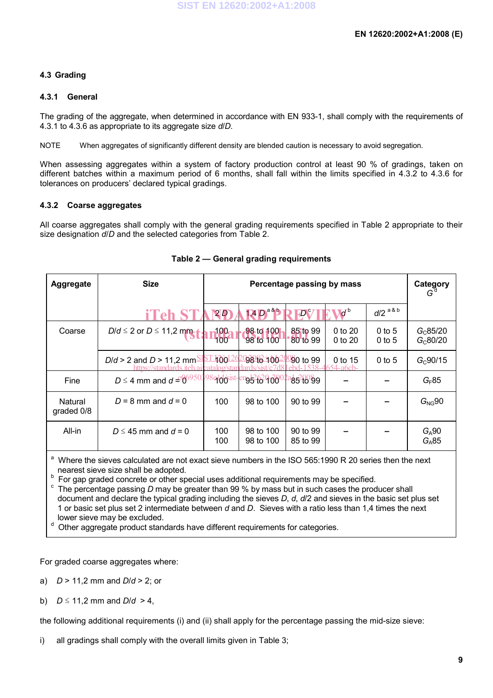#### **4.3 Grading**

#### **4.3.1 General**

The grading of the aggregate, when determined in accordance with EN 933-1, shall comply with the requirements of 4.3.1 to 4.3.6 as appropriate to its aggregate size *d*/*D*.

NOTE When aggregates of significantly different density are blended caution is necessary to avoid segregation.

When assessing aggregates within a system of factory production control at least 90 % of gradings, taken on different batches within a maximum period of 6 months, shall fall within the limits specified in 4.3.2 to 4.3.6 for tolerances on producers' declared typical gradings.

#### **4.3.2 Coarse aggregates**

All coarse aggregates shall comply with the general grading requirements specified in Table 2 appropriate to their size designation *d*/*D* and the selected categories from Table 2.

| Aggregate             | <b>Size</b>                                                           | Percentage passing by mass |                                |                           | Category<br>$G^d$           |                          |                                              |
|-----------------------|-----------------------------------------------------------------------|----------------------------|--------------------------------|---------------------------|-----------------------------|--------------------------|----------------------------------------------|
|                       |                                                                       | 2D                         | $14D^{\circ 8}D$               | $\mathbf{D}^{\mathbf{c}}$ | $\overline{d}^{\,\text{b}}$ | $d/2$ <sup>a&amp;b</sup> |                                              |
| Coarse                | $D/d \leq 2$ or $D \leq 11,2$ mm                                      | 100.<br>100                | 98 to 100<br>98 to 100         | 85 to 99<br>80 to 99      | 0 to 20<br>0 to 20          | $0$ to 5<br>$0$ to 5     | G <sub>C</sub> 85/20<br>G <sub>C</sub> 80/20 |
|                       | $D/d > 2$ and $D > 11,2$ mm <sup>3</sup><br>httne://etandarde_tteh_a1 | 400 <sup>T</sup>           | 08 100 <sup>200</sup> 90 to 99 |                           | 0 to 15<br>4-a6ch-          | $0$ to 5                 | G <sub>C</sub> 90/15                         |
| Fine                  | $D \leq 4$ mm and $d = 0$                                             | eloosist                   | <mark>eng}2f&amp;9r80</mark> 0 | a8521089                  |                             |                          | $G_F85$                                      |
| Natural<br>graded 0/8 | $D = 8$ mm and $d = 0$                                                | 100                        | 98 to 100                      | 90 to 99                  |                             |                          | $G_{\rm NG}$ 90                              |
| All-in                | $D \leq 45$ mm and $d = 0$                                            | 100<br>100                 | 98 to 100<br>98 to 100         | 90 to 99<br>85 to 99      |                             |                          | $G_A90$<br>$G_A$ 85                          |

#### **Table 2 — General grading requirements**

<sup>a</sup> Where the sieves calculated are not exact sieve numbers in the ISO 565:1990 R 20 series then the next nearest sieve size shall be adopted.

**b** For gap graded concrete or other special uses additional requirements may be specified.

<sup>c</sup> The percentage passing *D* may be greater than 99 % by mass but in such cases the producer shall document and declare the typical grading including the sieves *D*, *d*, *d*/2 and sieves in the basic set plus set 1 or basic set plus set 2 intermediate between *d* and *D*. Sieves with a ratio less than 1,4 times the next lower sieve may be excluded.

d Other aggregate product standards have different requirements for categories.

For graded coarse aggregates where:

- a) *D* > 11,2 mm and *D*/*d* > 2; or
- b) *D* ≤ 11,2 mm and *D*/*d* > 4,

the following additional requirements (i) and (ii) shall apply for the percentage passing the mid-size sieve:

i) all gradings shall comply with the overall limits given in Table 3;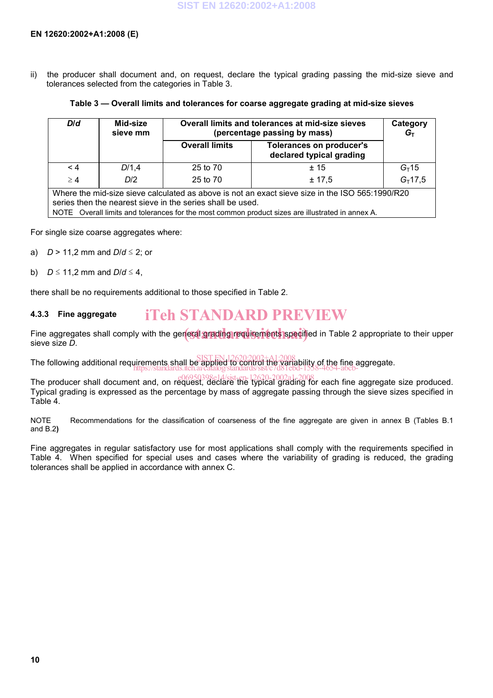ii) the producer shall document and, on request, declare the typical grading passing the mid-size sieve and tolerances selected from the categories in Table 3.

**Table 3 — Overall limits and tolerances for coarse aggregate grading at mid-size sieves** 

| D/d      | Mid-size<br>sieve mm | Overall limits and tolerances at mid-size sieves<br>(percentage passing by mass) |                                                                                                 | Category<br>$G_T$ |
|----------|----------------------|----------------------------------------------------------------------------------|-------------------------------------------------------------------------------------------------|-------------------|
|          |                      | <b>Overall limits</b>                                                            | <b>Tolerances on producer's</b><br>declared typical grading                                     |                   |
| $\leq 4$ | D/1.4                | 25 to 70                                                                         | ± 15                                                                                            | $G_T$ 15          |
| $\geq 4$ | D/2                  | 25 to 70                                                                         | ± 17,5                                                                                          | $G_T$ 17,5        |
|          |                      | series then the nearest sieve in the series shall be used.                       | Where the mid-size sieve calculated as above is not an exact sieve size in the ISO 565:1990/R20 |                   |

NOTE Overall limits and tolerances for the most common product sizes are illustrated in annex A.

For single size coarse aggregates where:

- a) *D* > 11,2 mm and *D*/*d* ≤ 2; or
- b) *D* ≤ 11,2 mm and *D*/*d* ≤ 4,

there shall be no requirements additional to those specified in Table 2.

#### **4.3.3 Fine aggregate**  iTeh STANDARD PREVIEW

Fine aggregates shall comply with the general grading requirements specified in Table 2 appropriate to their upper<br>situs site D sieve size *D*.

The following additional requirements shall be applied to control the variability of the fine aggregate. https://standards.iteh.ai/catalog/standards/sist/c7d81ebd-1538-4654-a6cb-

The producer shall document and, on request, declare the typical grading for each fine aggregate size produced. Typical grading is expressed as the percentage by mass of aggregate passing through the sieve sizes specified in Table 4.

NOTE Recommendations for the classification of coarseness of the fine aggregate are given in annex B (Tables B.1 and B.2**)** 

Fine aggregates in regular satisfactory use for most applications shall comply with the requirements specified in Table 4. When specified for special uses and cases where the variability of grading is reduced, the grading tolerances shall be applied in accordance with annex C.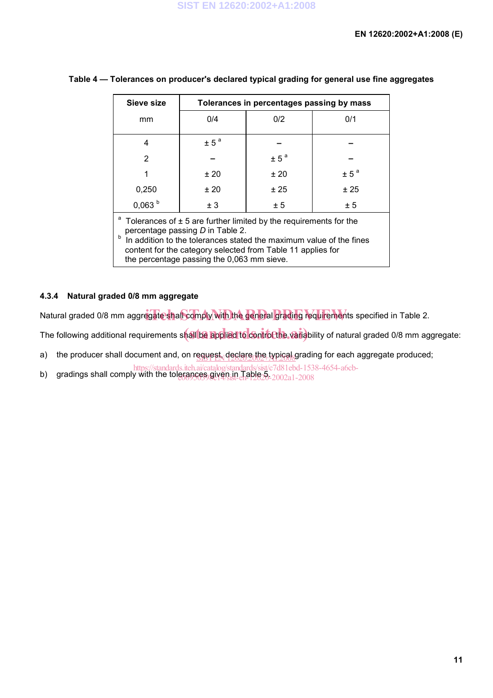| <b>Sieve size</b>             | Tolerances in percentages passing by mass |                      |                      |
|-------------------------------|-------------------------------------------|----------------------|----------------------|
| mm                            | 0/4                                       | 0/2                  | 0/1                  |
| 4                             | ± 5 <sup>a</sup>                          |                      |                      |
| 2                             |                                           | $\pm$ 5 <sup>a</sup> |                      |
| 1                             | ±20                                       | ±20                  | $\pm$ 5 <sup>a</sup> |
|                               | ±20                                       | ±25                  | ± 25                 |
| $0,250$<br>$0,063$ $^{\rm b}$ | ± 3                                       | ± 5                  | ± 5                  |
|                               |                                           |                      |                      |

### **Table 4 — Tolerances on producer's declared typical grading for general use fine aggregates**

<sup>a</sup> Tolerances of  $\pm$  5 are further limited by the requirements for the

percentage passing *D* in Table 2.<br><sup>b</sup> In addition to the tolerances stated the maximum value of the fines content for the category selected from Table 11 applies for the percentage passing the 0,063 mm sieve.

#### **4.3.4 Natural graded 0/8 mm aggregate**

Natural graded 0/8 mm aggregate shall comply with the general grading requirements specified in Table 2.

The following additional requirements shall be applied to controCthe variability of natural graded 0/8 mm aggregate:

- a) the producer shall document and, on request, declare the typical grading for each aggregate produced;
- https://standards.iteh.ai/catalog/standards/sist/c7d81ebd-1538-4654-a6cb-<br>**b)** gradings shall comply with the tolerances given in Table 5. 2002a1-2008 e06950398e14/sist-en-12620-2002a1-2008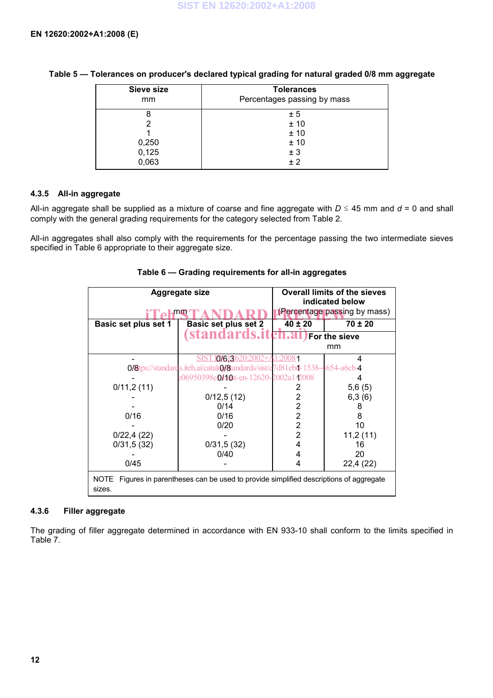| Sieve size              | <b>Tolerances</b>                        |
|-------------------------|------------------------------------------|
| mm                      | Percentages passing by mass              |
| 0,250<br>0,125<br>0,063 | ± 5<br>±10<br>± 10<br>±10<br>± 3<br>$+2$ |

### **Table 5 — Tolerances on producer's declared typical grading for natural graded 0/8 mm aggregate**

#### **4.3.5 All-in aggregate**

All-in aggregate shall be supplied as a mixture of coarse and fine aggregate with *D* ≤ 45 mm and *d* = 0 and shall comply with the general grading requirements for the category selected from Table 2.

All-in aggregates shall also comply with the requirements for the percentage passing the two intermediate sieves specified in Table 6 appropriate to their aggregate size.

|                                                                                                              | <b>Aggregate size</b>                                                              |                                            |                              |
|--------------------------------------------------------------------------------------------------------------|------------------------------------------------------------------------------------|--------------------------------------------|------------------------------|
|                                                                                                              |                                                                                    |                                            | (Percentage passing by mass) |
| Basic set plus set 1                                                                                         | <b>Basic set plus set 2</b>                                                        | $40 \pm 20$                                | $70 \pm 20$                  |
|                                                                                                              | standards.iteh.al) For the sieve                                                   |                                            |                              |
|                                                                                                              |                                                                                    |                                            | mm                           |
|                                                                                                              | lo/613620:2002+A1:20081                                                            |                                            | 4                            |
|                                                                                                              | O/8tps://standards.iteh.ai/catalo/8tandards/sist/c7d81ebd-1538-4654-a6cb-4         |                                            |                              |
|                                                                                                              | e06950398e04Abct-en-12620-2002a1-2008                                              |                                            |                              |
| 0/11,2(11)                                                                                                   |                                                                                    | 2                                          | 5,6(5)                       |
|                                                                                                              | 0/12,5(12)                                                                         | $\overline{\mathbf{c}}$                    | 6,3(6)                       |
|                                                                                                              | 0/14                                                                               | 2                                          | 8                            |
| 0/16                                                                                                         | 0/16                                                                               |                                            | 8                            |
|                                                                                                              | 0/20                                                                               | $\begin{array}{c} 2 \\ 2 \\ 2 \end{array}$ | 10                           |
| 0/22,4(22)                                                                                                   |                                                                                    |                                            | 11,2(11)                     |
| 0/31,5(32)                                                                                                   | 0/31,5(32)                                                                         | 4                                          | 16                           |
|                                                                                                              | 0/40                                                                               | 4                                          | 20                           |
| 0/45                                                                                                         |                                                                                    | 4                                          | 22,4 (22)                    |
| <b>NOTE</b><br>sizes.                                                                                        | Figures in parentheses can be used to provide simplified descriptions of aggregate |                                            |                              |
| 4.3.6<br><b>Filler aggregate</b>                                                                             |                                                                                    |                                            |                              |
| The grading of filler aggregate determined in accordance with EN 933-10 shall conform to the lin<br>Table 7. |                                                                                    |                                            |                              |

#### **Table 6 — Grading requirements for all-in aggregates**

#### **4.3.6 Filler aggregate**

The grading of filler aggregate determined in accordance with EN 933-10 shall conform to the limits specified in